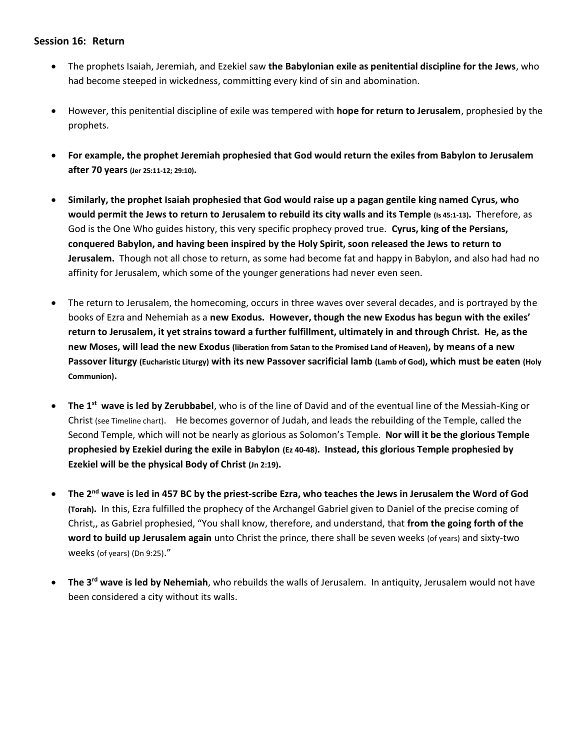## **Session 16: Return**

- The prophets Isaiah, Jeremiah, and Ezekiel saw **the Babylonian exile as penitential discipline for the Jews**, who had become steeped in wickedness, committing every kind of sin and abomination.
- However, this penitential discipline of exile was tempered with **hope for return to Jerusalem**, prophesied by the prophets.
- **For example, the prophet Jeremiah prophesied that God would return the exiles from Babylon to Jerusalem after 70 years (Jer 25:11-12; 29:10).**
- **Similarly, the prophet Isaiah prophesied that God would raise up a pagan gentile king named Cyrus, who would permit the Jews to return to Jerusalem to rebuild its city walls and its Temple (Is 45:1-13).** Therefore, as God is the One Who guides history, this very specific prophecy proved true. **Cyrus, king of the Persians, conquered Babylon, and having been inspired by the Holy Spirit, soon released the Jews to return to Jerusalem.** Though not all chose to return, as some had become fat and happy in Babylon, and also had had no affinity for Jerusalem, which some of the younger generations had never even seen.
- The return to Jerusalem, the homecoming, occurs in three waves over several decades, and is portrayed by the books of Ezra and Nehemiah as a **new Exodus. However, though the new Exodus has begun with the exiles' return to Jerusalem, it yet strains toward a further fulfillment, ultimately in and through Christ. He, as the new Moses, will lead the new Exodus (liberation from Satan to the Promised Land of Heaven), by means of a new Passover liturgy (Eucharistic Liturgy) with its new Passover sacrificial lamb (Lamb of God), which must be eaten (Holy Communion).**
- **The 1st wave is led by Zerubbabel**, who is of the line of David and of the eventual line of the Messiah-King or Christ (see Timeline chart). He becomes governor of Judah, and leads the rebuilding of the Temple, called the Second Temple, which will not be nearly as glorious as Solomon's Temple. **Nor will it be the glorious Temple prophesied by Ezekiel during the exile in Babylon (Ez 40-48). Instead, this glorious Temple prophesied by Ezekiel will be the physical Body of Christ (Jn 2:19).**
- **The 2nd wave is led in 457 BC by the priest-scribe Ezra, who teaches the Jews in Jerusalem the Word of God (Torah).** In this, Ezra fulfilled the prophecy of the Archangel Gabriel given to Daniel of the precise coming of Christ,, as Gabriel prophesied, "You shall know, therefore, and understand, that **from the going forth of the word to build up Jerusalem again** unto Christ the prince, there shall be seven weeks (of years) and sixty-two weeks (of years) (Dn 9:25)."
- **The 3rd wave is led by Nehemiah**, who rebuilds the walls of Jerusalem. In antiquity, Jerusalem would not have been considered a city without its walls.